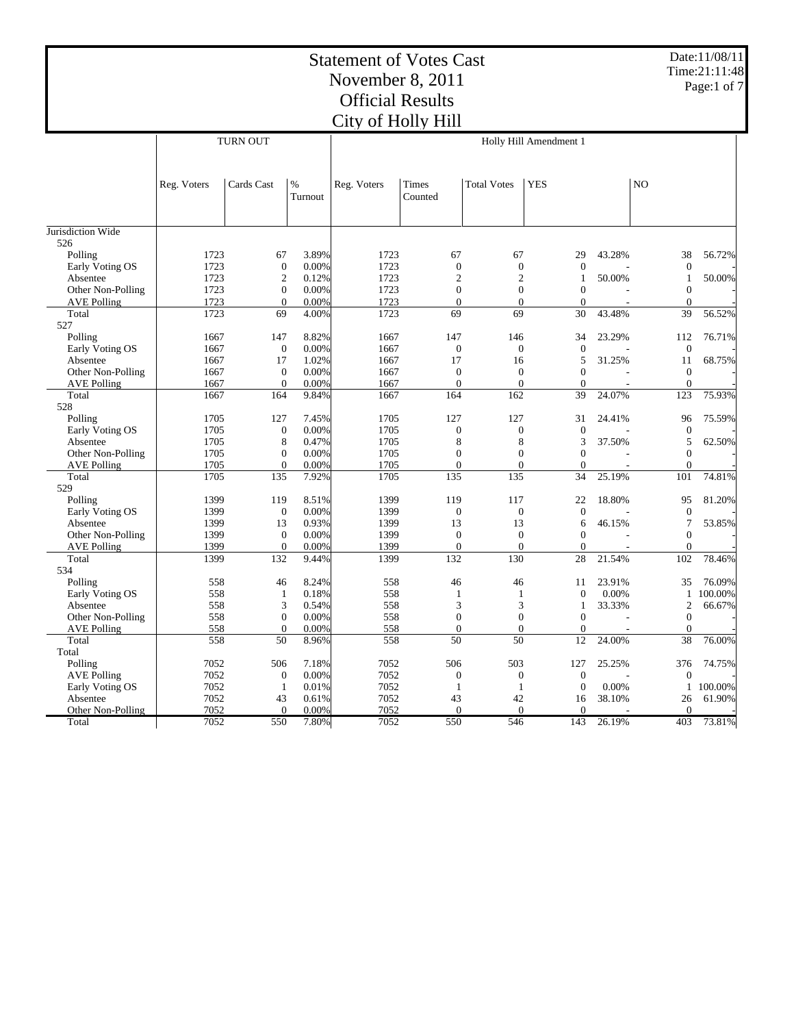Date:11/08/11 Time:21:11:48 Page:1 of 7

|                            |              |                  |                 | CIty of HOIIY HIII     |                     |                     |                    |        |                       |         |  |
|----------------------------|--------------|------------------|-----------------|------------------------|---------------------|---------------------|--------------------|--------|-----------------------|---------|--|
|                            |              | <b>TURN OUT</b>  |                 | Holly Hill Amendment 1 |                     |                     |                    |        |                       |         |  |
|                            |              |                  |                 |                        |                     |                     |                    |        |                       |         |  |
|                            | Reg. Voters  | Cards Cast       | $\%$<br>Turnout | Reg. Voters            | Times<br>Counted    | <b>Total Votes</b>  | <b>YES</b>         |        | NO                    |         |  |
|                            |              |                  |                 |                        |                     |                     |                    |        |                       |         |  |
| Jurisdiction Wide          |              |                  |                 |                        |                     |                     |                    |        |                       |         |  |
| 526                        |              |                  |                 |                        |                     |                     |                    |        |                       |         |  |
| Polling                    | 1723         | 67               | 3.89%           | 1723                   | 67                  | 67                  | 29                 | 43.28% | 38                    | 56.72%  |  |
| Early Voting OS            | 1723         | $\boldsymbol{0}$ | 0.00%           | 1723                   | $\mathbf{0}$        | $\mathbf{0}$        | $\boldsymbol{0}$   |        | $\overline{0}$        |         |  |
| Absentee                   | 1723         | $\mathfrak{2}$   | 0.12%           | 1723                   | $\overline{2}$      | $\overline{c}$      | 1                  | 50.00% | 1                     | 50.00%  |  |
| Other Non-Polling          | 1723         | $\boldsymbol{0}$ | 0.00%           | 1723                   | $\mathbf{0}$        | $\boldsymbol{0}$    | $\overline{0}$     |        | $\Omega$              |         |  |
| <b>AVE Polling</b>         | 1723         | $\Omega$         | 0.00%           | 1723                   | $\theta$            | $\Omega$            | $\Omega$           |        | $\Omega$              |         |  |
| Total                      | 1723         | 69               | 4.00%           | 1723                   | 69                  | 69                  | 30                 | 43.48% | 39                    | 56.52%  |  |
| 527                        |              | 147              |                 |                        |                     |                     |                    | 23.29% |                       |         |  |
| Polling<br>Early Voting OS | 1667<br>1667 | $\mathbf{0}$     | 8.82%<br>0.00%  | 1667<br>1667           | 147<br>$\mathbf{0}$ | 146<br>$\mathbf{0}$ | 34<br>$\mathbf{0}$ |        | 112<br>$\overline{0}$ | 76.71%  |  |
| Absentee                   | 1667         | 17               | 1.02%           | 1667                   | 17                  | 16                  | 5                  | 31.25% | 11                    | 68.75%  |  |
| Other Non-Polling          | 1667         | $\boldsymbol{0}$ | 0.00%           | 1667                   | $\mathbf{0}$        | $\mathbf{0}$        | $\overline{0}$     |        | $\mathbf{0}$          |         |  |
| <b>AVE Polling</b>         | 1667         | $\theta$         | 0.00%           | 1667                   | $\theta$            | $\overline{0}$      | $\mathbf{0}$       |        | $\mathbf{0}$          |         |  |
| Total                      | 1667         | 164              | 9.84%           | 1667                   | 164                 | 162                 | 39                 | 24.07% | 123                   | 75.93%  |  |
| 528                        |              |                  |                 |                        |                     |                     |                    |        |                       |         |  |
| Polling                    | 1705         | 127              | 7.45%           | 1705                   | 127                 | 127                 | 31                 | 24.41% | 96                    | 75.59%  |  |
| Early Voting OS            | 1705         | $\boldsymbol{0}$ | 0.00%           | 1705                   | $\mathbf{0}$        | $\overline{0}$      | $\overline{0}$     |        | $\theta$              |         |  |
| Absentee                   | 1705         | 8                | 0.47%           | 1705                   | 8                   | 8                   | 3                  | 37.50% | 5                     | 62.50%  |  |
| Other Non-Polling          | 1705         | $\boldsymbol{0}$ | 0.00%           | 1705                   | $\mathbf{0}$        | $\mathbf{0}$        | $\boldsymbol{0}$   |        | $\theta$              |         |  |
| <b>AVE Polling</b>         | 1705         | $\mathbf{0}$     | 0.00%           | 1705                   | $\theta$            | $\overline{0}$      | $\overline{0}$     |        | $\overline{0}$        |         |  |
| Total                      | 1705         | 135              | 7.92%           | 1705                   | 135                 | 135                 | 34                 | 25.19% | 101                   | 74.81%  |  |
| 529                        |              |                  |                 |                        |                     |                     |                    |        |                       |         |  |
| Polling                    | 1399         | 119              | 8.51%           | 1399                   | 119                 | 117                 | 22                 | 18.80% | 95                    | 81.20%  |  |
| Early Voting OS            | 1399         | $\boldsymbol{0}$ | 0.00%           | 1399                   | $\mathbf{0}$        | $\mathbf{0}$        | $\mathbf{0}$       |        | $\overline{0}$        |         |  |
| Absentee                   | 1399         | 13               | 0.93%           | 1399                   | 13                  | 13                  | 6                  | 46.15% | $\overline{7}$        | 53.85%  |  |
| Other Non-Polling          | 1399         | $\mathbf{0}$     | 0.00%           | 1399                   | $\mathbf{0}$        | $\overline{0}$      | $\overline{0}$     |        | $\Omega$              |         |  |
| <b>AVE Polling</b>         | 1399         | $\Omega$         | 0.00%           | 1399                   | $\Omega$            | $\Omega$            | $\Omega$           |        | $\Omega$              |         |  |
| Total<br>534               | 1399         | 132              | 9.44%           | 1399                   | 132                 | 130                 | 28                 | 21.54% | 102                   | 78.46%  |  |
| Polling                    | 558          | 46               | 8.24%           | 558                    | 46                  | 46                  | 11                 | 23.91% | 35                    | 76.09%  |  |
| Early Voting OS            | 558          | 1                | 0.18%           | 558                    | $\mathbf{1}$        | $\mathbf{1}$        | $\boldsymbol{0}$   | 0.00%  | 1                     | 100.00% |  |
| Absentee                   | 558          | 3                | 0.54%           | 558                    | 3                   | 3                   | $\mathbf{1}$       | 33.33% | $\mathbf{2}$          | 66.67%  |  |
| Other Non-Polling          | 558          | $\boldsymbol{0}$ | 0.00%           | 558                    | $\theta$            | $\mathbf{0}$        | $\overline{0}$     |        | $\mathbf{0}$          |         |  |
| <b>AVE Polling</b>         | 558          | $\Omega$         | 0.00%           | 558                    | $\theta$            | $\theta$            | $\theta$           |        | $\Omega$              |         |  |
| Total                      | 558          | 50               | 8.96%           | 558                    | 50                  | 50                  | 12                 | 24.00% | 38                    | 76.00%  |  |
| Total                      |              |                  |                 |                        |                     |                     |                    |        |                       |         |  |
| Polling                    | 7052         | 506              | 7.18%           | 7052                   | 506                 | 503                 | 127                | 25.25% | 376                   | 74.75%  |  |
| <b>AVE Polling</b>         | 7052         | $\mathbf{0}$     | 0.00%           | 7052                   | $\boldsymbol{0}$    | $\mathbf{0}$        | $\boldsymbol{0}$   |        | $\boldsymbol{0}$      |         |  |
| Early Voting OS            | 7052         | 1                | 0.01%           | 7052                   | $\mathbf{1}$        | $\mathbf{1}$        | $\boldsymbol{0}$   | 0.00%  | 1                     | 100.00% |  |
| Absentee                   | 7052         | 43               | 0.61%           | 7052                   | 43                  | 42                  | 16                 | 38.10% | 26                    | 61.90%  |  |
| Other Non-Polling          | 7052         | $\Omega$         | 0.00%           | 7052                   | $\Omega$            | $\Omega$            | $\Omega$           |        | $\Omega$              |         |  |
| Total                      | 7052         | 550              | 7.80%           | 7052                   | 550                 | 546                 | 143                | 26.19% | 403                   | 73.81%  |  |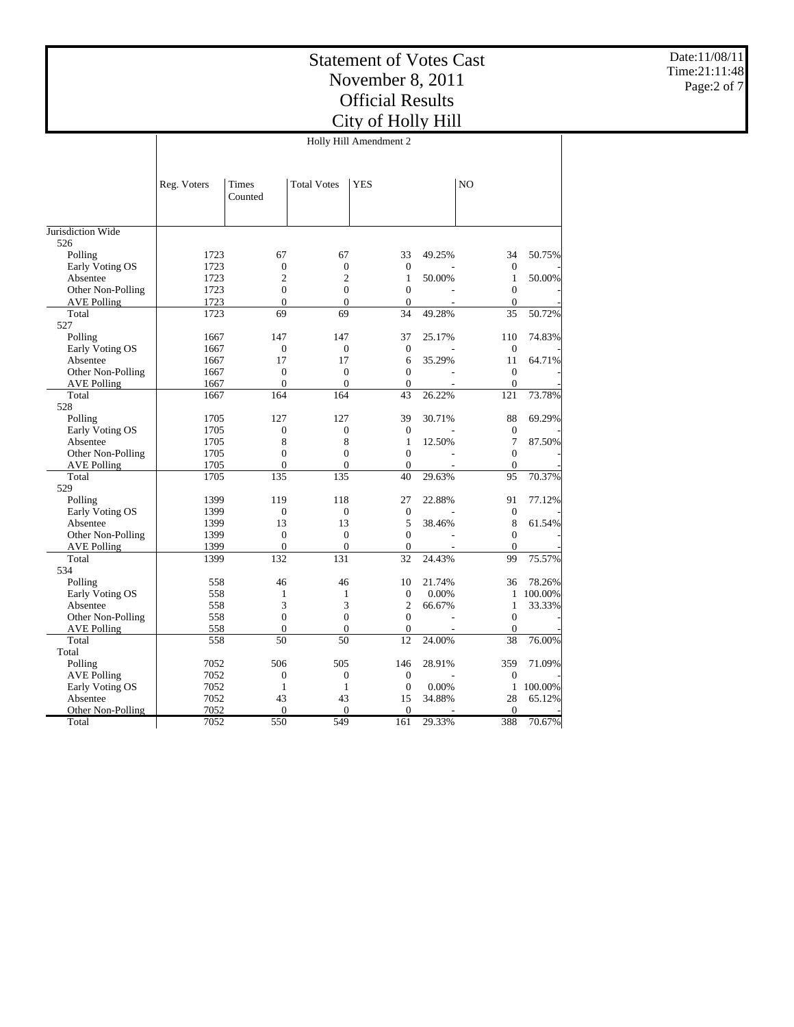Date:11/08/11 Time:21:11:48 Page:2 of 7

|                    |             | Holly Hill Amendment 2 |                    |                  |          |                  |         |  |  |  |  |
|--------------------|-------------|------------------------|--------------------|------------------|----------|------------------|---------|--|--|--|--|
|                    | Reg. Voters | Times<br>Counted       | <b>Total Votes</b> | <b>YES</b>       |          | N <sub>O</sub>   |         |  |  |  |  |
| Jurisdiction Wide  |             |                        |                    |                  |          |                  |         |  |  |  |  |
| 526                |             |                        |                    |                  |          |                  |         |  |  |  |  |
| Polling            | 1723        | 67                     | 67                 | 33               | 49.25%   | 34               | 50.75%  |  |  |  |  |
| Early Voting OS    | 1723        | $\boldsymbol{0}$       | $\boldsymbol{0}$   | $\mathbf{0}$     |          | $\boldsymbol{0}$ |         |  |  |  |  |
| Absentee           | 1723        | $\overline{c}$         | $\overline{c}$     | $\mathbf{1}$     | 50.00%   | $\mathbf{1}$     | 50.00%  |  |  |  |  |
| Other Non-Polling  | 1723        | $\mathbf{0}$           | $\mathbf{0}$       | $\overline{0}$   |          | $\boldsymbol{0}$ |         |  |  |  |  |
| <b>AVE Polling</b> | 1723        | $\Omega$               | $\overline{0}$     | $\mathbf{0}$     |          | $\mathbf{0}$     |         |  |  |  |  |
| Total              | 1723        | 69                     | 69                 | 34               | 49.28%   | 35               | 50.72%  |  |  |  |  |
| 527                |             |                        |                    |                  |          |                  |         |  |  |  |  |
| Polling            | 1667        | 147                    | 147                | 37               | 25.17%   | 110              | 74.83%  |  |  |  |  |
| Early Voting OS    | 1667        | $\mathbf{0}$           | $\mathbf{0}$       | $\mathbf{0}$     |          | $\mathbf{0}$     |         |  |  |  |  |
| Absentee           | 1667        | 17                     | 17                 | 6                | 35.29%   | 11               | 64.71%  |  |  |  |  |
| Other Non-Polling  | 1667        | $\theta$               | $\mathbf{0}$       | $\mathbf{0}$     |          | $\mathbf{0}$     |         |  |  |  |  |
| <b>AVE Polling</b> | 1667        | $\mathbf{0}$           | $\boldsymbol{0}$   | $\mathbf{0}$     |          | $\boldsymbol{0}$ |         |  |  |  |  |
| Total              | 1667        | 164                    | 164                | 43               | 26.22%   | 121              | 73.78%  |  |  |  |  |
| 528                |             |                        |                    |                  |          |                  |         |  |  |  |  |
| Polling            | 1705        | 127                    | 127                | 39               | 30.71%   | 88               | 69.29%  |  |  |  |  |
| Early Voting OS    | 1705        | $\mathbf{0}$           | $\boldsymbol{0}$   | $\boldsymbol{0}$ |          | $\boldsymbol{0}$ |         |  |  |  |  |
| Absentee           | 1705        | 8                      | 8                  | $\mathbf{1}$     | 12.50%   | 7                | 87.50%  |  |  |  |  |
| Other Non-Polling  | 1705        | $\mathbf{0}$           | $\mathbf{0}$       | $\theta$         |          | $\boldsymbol{0}$ |         |  |  |  |  |
| <b>AVE Polling</b> | 1705        | $\mathbf{0}$           | 0                  | $\overline{0}$   |          | $\mathbf{0}$     |         |  |  |  |  |
| Total              | 1705        | 135                    | 135                | 40               | 29.63%   | 95               | 70.37%  |  |  |  |  |
| 529                |             |                        |                    |                  |          |                  |         |  |  |  |  |
| Polling            | 1399        | 119                    | 118                | 27               | 22.88%   | 91               | 77.12%  |  |  |  |  |
| Early Voting OS    | 1399        | $\boldsymbol{0}$       | $\boldsymbol{0}$   | $\boldsymbol{0}$ |          | $\boldsymbol{0}$ |         |  |  |  |  |
| Absentee           | 1399        | 13                     | 13                 | 5                | 38.46%   | 8                | 61.54%  |  |  |  |  |
| Other Non-Polling  | 1399        | $\mathbf{0}$           | $\mathbf{0}$       | $\overline{0}$   |          | $\mathbf{0}$     |         |  |  |  |  |
| <b>AVE Polling</b> | 1399        | $\mathbf{0}$           | $\mathbf{0}$       | $\mathbf{0}$     |          | $\mathbf{0}$     |         |  |  |  |  |
| Total              | 1399        | 132                    | 131                | 32               | 24.43%   | 99               | 75.57%  |  |  |  |  |
| 534                |             |                        |                    |                  |          |                  |         |  |  |  |  |
| Polling            | 558         | 46                     | 46                 | 10               | 21.74%   | 36               | 78.26%  |  |  |  |  |
| Early Voting OS    | 558         | 1                      | $\mathbf{1}$       | $\mathbf{0}$     | 0.00%    | 1                | 100.00% |  |  |  |  |
| Absentee           | 558         | 3                      | 3                  | $\overline{2}$   | 66.67%   | 1                | 33.33%  |  |  |  |  |
| Other Non-Polling  | 558         | $\mathbf{0}$           | $\mathbf{0}$       | $\mathbf{0}$     |          | $\boldsymbol{0}$ |         |  |  |  |  |
| <b>AVE Polling</b> | 558         | $\theta$               | $\theta$           | $\overline{0}$   |          | $\mathbf{0}$     |         |  |  |  |  |
| Total              | 558         | 50                     | 50                 | 12               | 24.00%   | 38               | 76.00%  |  |  |  |  |
| Total              |             |                        |                    |                  |          |                  |         |  |  |  |  |
| Polling            | 7052        | 506                    | 505                | 146              | 28.91%   | 359              | 71.09%  |  |  |  |  |
| <b>AVE Polling</b> | 7052        | $\boldsymbol{0}$       | $\boldsymbol{0}$   | $\mathbf{0}$     |          | $\boldsymbol{0}$ |         |  |  |  |  |
| Early Voting OS    | 7052        | $\mathbf{1}$           | $\mathbf{1}$       | $\overline{0}$   | $0.00\%$ | 1                | 100.00% |  |  |  |  |
| Absentee           | 7052        | 43                     | 43                 | 15               | 34.88%   | 28               | 65.12%  |  |  |  |  |
| Other Non-Polling  | 7052        | $\mathbf{0}$           | $\mathbf{0}$       | $\overline{0}$   |          | $\overline{0}$   |         |  |  |  |  |
| Total              | 7052        | 550                    | 549                | 161              | 29.33%   | 388              | 70.67%  |  |  |  |  |
|                    |             |                        |                    |                  |          |                  |         |  |  |  |  |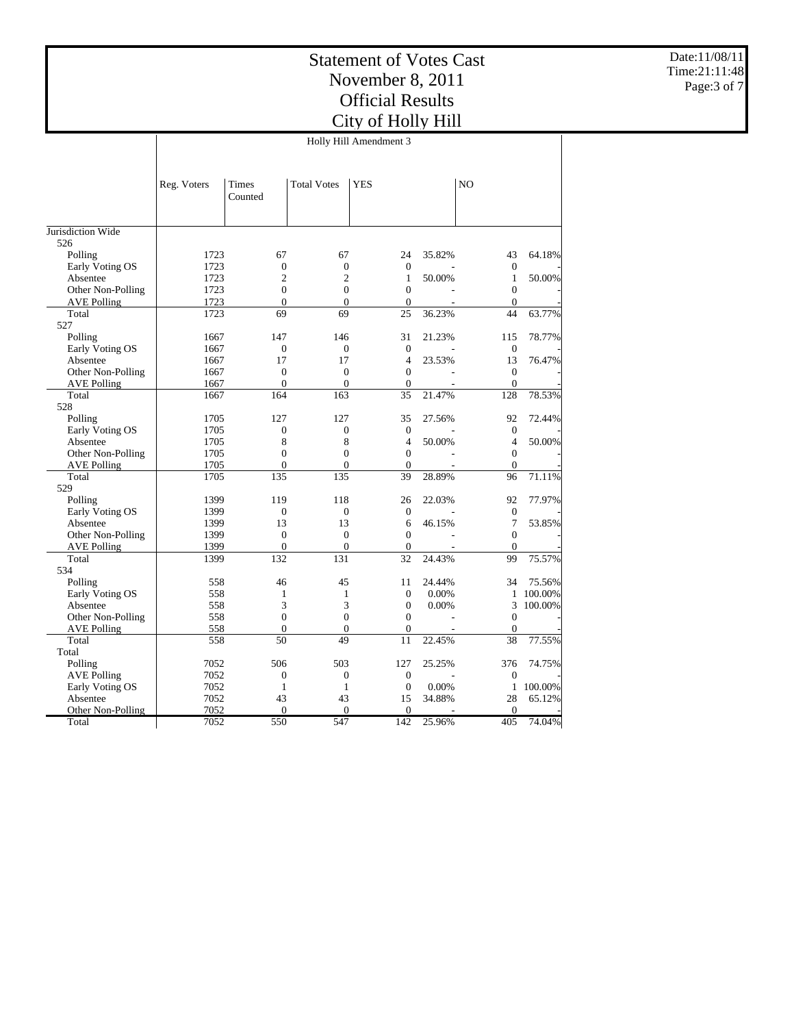Date:11/08/11 Time:21:11:48 Page:3 of 7

|                    |             | Holly Hill Amendment 3 |                    |                  |        |                  |         |  |  |  |  |
|--------------------|-------------|------------------------|--------------------|------------------|--------|------------------|---------|--|--|--|--|
|                    | Reg. Voters | Times<br>Counted       | <b>Total Votes</b> | <b>YES</b>       |        | N <sub>O</sub>   |         |  |  |  |  |
| Jurisdiction Wide  |             |                        |                    |                  |        |                  |         |  |  |  |  |
| 526                |             |                        |                    |                  |        |                  |         |  |  |  |  |
| Polling            | 1723        | 67                     | 67                 | 24               | 35.82% | 43               | 64.18%  |  |  |  |  |
| Early Voting OS    | 1723        | $\boldsymbol{0}$       | $\boldsymbol{0}$   | $\mathbf{0}$     |        | $\boldsymbol{0}$ |         |  |  |  |  |
| Absentee           | 1723        | $\overline{c}$         | $\overline{c}$     | $\mathbf{1}$     | 50.00% | $\mathbf{1}$     | 50.00%  |  |  |  |  |
| Other Non-Polling  | 1723        | $\mathbf{0}$           | $\mathbf{0}$       | $\overline{0}$   |        | $\boldsymbol{0}$ |         |  |  |  |  |
| <b>AVE Polling</b> | 1723        | $\Omega$               | $\overline{0}$     | $\theta$         |        | $\mathbf{0}$     |         |  |  |  |  |
| Total              | 1723        | 69                     | 69                 | 25               | 36.23% | 44               | 63.77%  |  |  |  |  |
| 527                |             |                        |                    |                  |        |                  |         |  |  |  |  |
| Polling            | 1667        | 147                    | 146                | 31               | 21.23% | 115              | 78.77%  |  |  |  |  |
| Early Voting OS    | 1667        | $\mathbf{0}$           | $\mathbf{0}$       | $\mathbf{0}$     |        | $\mathbf{0}$     |         |  |  |  |  |
| Absentee           | 1667        | 17                     | 17                 | $\overline{4}$   | 23.53% | 13               | 76.47%  |  |  |  |  |
| Other Non-Polling  | 1667        | $\theta$               | $\mathbf{0}$       | $\mathbf{0}$     |        | $\mathbf{0}$     |         |  |  |  |  |
| <b>AVE Polling</b> | 1667        | $\mathbf{0}$           | $\boldsymbol{0}$   | $\mathbf{0}$     |        | $\boldsymbol{0}$ |         |  |  |  |  |
| Total              | 1667        | 164                    | 163                | 35               | 21.47% | 128              | 78.53%  |  |  |  |  |
| 528                |             |                        |                    |                  |        |                  |         |  |  |  |  |
| Polling            | 1705        | 127                    | 127                | 35               | 27.56% | 92               | 72.44%  |  |  |  |  |
| Early Voting OS    | 1705        | $\mathbf{0}$           | $\boldsymbol{0}$   | $\boldsymbol{0}$ |        | $\boldsymbol{0}$ |         |  |  |  |  |
| Absentee           | 1705        | 8                      | 8                  | $\overline{4}$   | 50.00% | $\overline{4}$   | 50.00%  |  |  |  |  |
| Other Non-Polling  | 1705        | $\mathbf{0}$           | $\mathbf{0}$       | $\theta$         |        | $\boldsymbol{0}$ |         |  |  |  |  |
| <b>AVE Polling</b> | 1705        | $\mathbf{0}$           | 0                  | $\overline{0}$   |        | $\mathbf{0}$     |         |  |  |  |  |
| Total              | 1705        | 135                    | 135                | 39               | 28.89% | 96               | 71.11%  |  |  |  |  |
| 529                |             |                        |                    |                  |        |                  |         |  |  |  |  |
| Polling            | 1399        | 119                    | 118                | 26               | 22.03% | 92               | 77.97%  |  |  |  |  |
| Early Voting OS    | 1399        | $\boldsymbol{0}$       | $\boldsymbol{0}$   | $\boldsymbol{0}$ |        | $\boldsymbol{0}$ |         |  |  |  |  |
| Absentee           | 1399        | 13                     | 13                 | 6                | 46.15% | 7                | 53.85%  |  |  |  |  |
| Other Non-Polling  | 1399        | $\mathbf{0}$           | $\mathbf{0}$       | $\mathbf{0}$     |        | $\mathbf{0}$     |         |  |  |  |  |
| <b>AVE Polling</b> | 1399        | $\mathbf{0}$           | $\mathbf{0}$       | $\mathbf{0}$     |        | $\mathbf{0}$     |         |  |  |  |  |
| Total              | 1399        | 132                    | 131                | 32               | 24.43% | 99               | 75.57%  |  |  |  |  |
| 534                |             |                        |                    |                  |        |                  |         |  |  |  |  |
| Polling            | 558         | 46                     | 45                 | 11               | 24.44% | 34               | 75.56%  |  |  |  |  |
| Early Voting OS    | 558         | 1                      | $\mathbf{1}$       | $\mathbf{0}$     | 0.00%  | 1                | 100.00% |  |  |  |  |
| Absentee           | 558         | 3                      | 3                  | $\boldsymbol{0}$ | 0.00%  | 3                | 100.00% |  |  |  |  |
| Other Non-Polling  | 558         | $\mathbf{0}$           | $\mathbf{0}$       | $\mathbf{0}$     |        | $\mathbf{0}$     |         |  |  |  |  |
| <b>AVE Polling</b> | 558         | $\theta$               | $\Omega$           | $\overline{0}$   |        | $\overline{0}$   |         |  |  |  |  |
| Total              | 558         | 50                     | 49                 | 11               | 22.45% | 38               | 77.55%  |  |  |  |  |
| Total              |             |                        |                    |                  |        |                  |         |  |  |  |  |
| Polling            | 7052        | 506                    | 503                | 127              | 25.25% | 376              | 74.75%  |  |  |  |  |
| <b>AVE Polling</b> | 7052        | $\boldsymbol{0}$       | $\boldsymbol{0}$   | $\mathbf{0}$     |        | $\boldsymbol{0}$ |         |  |  |  |  |
| Early Voting OS    | 7052        | $\mathbf{1}$           | $\mathbf{1}$       | $\overline{0}$   | 0.00%  | 1                | 100.00% |  |  |  |  |
| Absentee           | 7052        | 43                     | 43                 | 15               | 34.88% | 28               | 65.12%  |  |  |  |  |
| Other Non-Polling  | 7052        | $\mathbf{0}$           | $\mathbf{0}$       | $\overline{0}$   |        | $\overline{0}$   |         |  |  |  |  |
| Total              | 7052        | 550                    | 547                | 142              | 25.96% | 405              | 74.04%  |  |  |  |  |
|                    |             |                        |                    |                  |        |                  |         |  |  |  |  |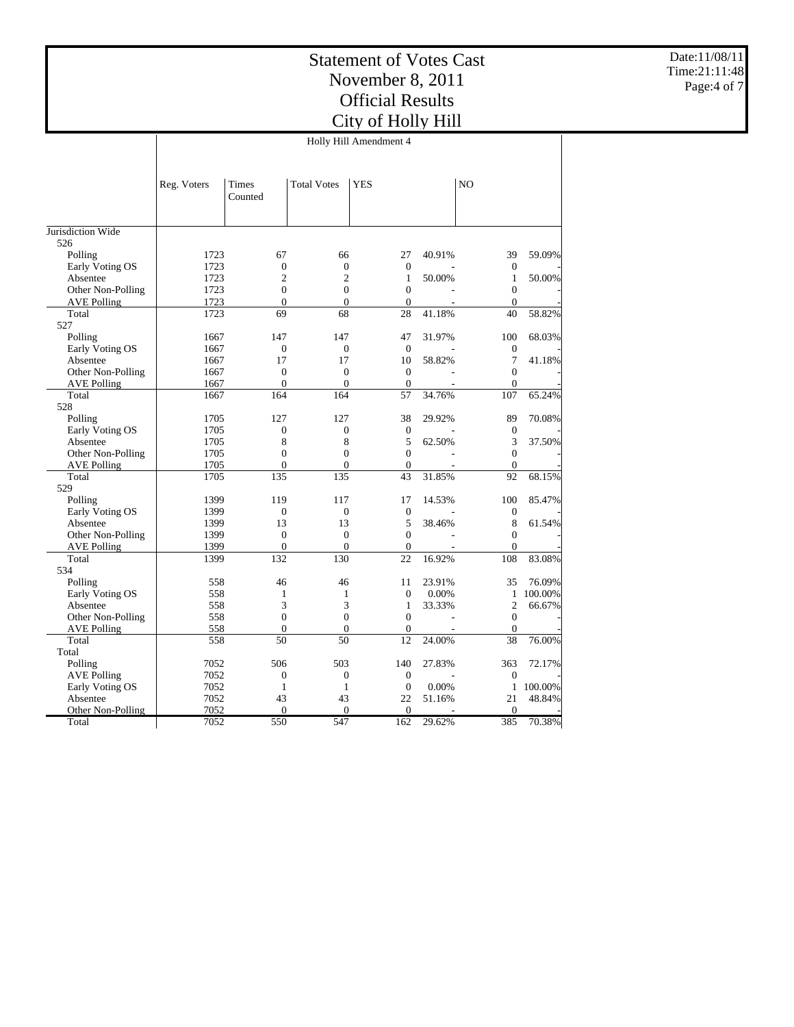Date:11/08/11 Time:21:11:48 Page:4 of 7

| <b>Total Votes</b><br>N <sub>O</sub><br>Reg. Voters<br>Times<br><b>YES</b><br>Counted<br>Jurisdiction Wide<br>526<br>1723<br>67<br>39<br>Polling<br>66<br>27<br>40.91%<br>Early Voting OS<br>1723<br>$\boldsymbol{0}$<br>0<br>$\mathbf{0}$<br>0<br>$\overline{c}$<br>$\overline{c}$<br>1723<br>$\mathbf{1}$<br>Absentee<br>50.00%<br>1<br>$\overline{0}$<br>1723<br>$\mathbf{0}$<br>$\mathbf{0}$<br>$\boldsymbol{0}$<br>Other Non-Polling<br>1723<br>$\Omega$<br>$\overline{0}$<br>$\overline{0}$<br>$\mathbf{0}$<br><b>AVE Polling</b><br>68<br>40<br>Total<br>1723<br>69<br>28<br>41.18%<br>527<br>47<br>100<br>Polling<br>1667<br>147<br>147<br>31.97%<br>$\mathbf{0}$<br>$\mathbf{0}$<br>$\mathbf{0}$<br>$\boldsymbol{0}$<br>Early Voting OS<br>1667<br>7<br>17<br>17<br>10<br>58.82%<br>Absentee<br>1667<br>$\mathbf{0}$<br>$\mathbf{0}$<br>$\mathbf{0}$<br>Other Non-Polling<br>1667<br>$\theta$<br>$\boldsymbol{0}$<br>$\boldsymbol{0}$<br>$\mathbf{0}$<br>$\mathbf{0}$<br><b>AVE Polling</b><br>1667<br>164<br>164<br>57<br>107<br>Total<br>1667<br>34.76%<br>528<br>38<br>89<br>Polling<br>1705<br>127<br>127<br>29.92%<br>Early Voting OS<br>1705<br>$\mathbf{0}$<br>$\boldsymbol{0}$<br>$\mathbf{0}$<br>$\boldsymbol{0}$<br>8<br>8<br>5<br>3<br>1705<br>62.50%<br>Absentee<br>1705<br>$\mathbf{0}$<br>$\mathbf{0}$<br>$\boldsymbol{0}$<br>Other Non-Polling<br>$\mathbf{0}$<br>1705<br>$\mathbf{0}$<br><b>AVE Polling</b><br>$\mathbf{0}$<br>0<br>$\theta$<br>43<br>92<br>Total<br>1705<br>135<br>135<br>31.85%<br>529<br>119<br>Polling<br>1399<br>117<br>17<br>14.53%<br>100<br>Early Voting OS<br>1399<br>$\boldsymbol{0}$<br>$\boldsymbol{0}$<br>$\boldsymbol{0}$<br>$\boldsymbol{0}$<br>13<br>13<br>5<br>8<br>Absentee<br>1399<br>38.46%<br>$\overline{0}$<br>Other Non-Polling<br>1399<br>$\mathbf{0}$<br>$\mathbf{0}$<br>$\mathbf{0}$<br>1399<br>$\mathbf{0}$<br>$\mathbf{0}$<br>$\mathbf{0}$<br>$\mathbf{0}$<br><b>AVE Polling</b><br>132<br>130<br>22<br>108<br>Total<br>1399<br>16.92%<br>534<br>Polling<br>558<br>46<br>46<br>11<br>23.91%<br>35<br>Early Voting OS<br>$\mathbf{0}$<br>0.00%<br>558<br>1<br>$\mathbf{1}$<br>1<br>3<br>3<br>$\mathbf{1}$<br>33.33%<br>$\mathfrak{2}$<br>66.67%<br>Absentee<br>558<br>$\mathbf{0}$<br>$\mathbf{0}$<br>$\mathbf{0}$<br>$\mathbf{0}$<br>Other Non-Polling<br>558<br>$\theta$<br>$\theta$<br>558<br>$\overline{0}$<br>$\mathbf{0}$<br><b>AVE Polling</b><br>50<br>50<br>12<br>Total<br>558<br>24.00%<br>38<br>Total<br>140<br>Polling<br>7052<br>506<br>503<br>27.83%<br>363<br>7052<br>$\boldsymbol{0}$<br>$\mathbf{0}$<br><b>AVE Polling</b><br>$\boldsymbol{0}$<br>$\boldsymbol{0}$<br>Early Voting OS<br>7052<br>$\mathbf{1}$<br>$\mathbf{1}$<br>$\overline{0}$<br>0.00%<br>1<br>43<br>22<br>7052<br>43<br>51.16%<br>21<br>Absentee<br>Other Non-Polling<br>$\mathbf{0}$<br>$\overline{0}$<br>7052<br>$\mathbf{0}$<br>$\overline{0}$<br>550<br>547<br>385<br>Total<br>7052<br>162<br>29.62% | Holly Hill Amendment 4 |  |  |  |  |  |  |  |  |  |
|------------------------------------------------------------------------------------------------------------------------------------------------------------------------------------------------------------------------------------------------------------------------------------------------------------------------------------------------------------------------------------------------------------------------------------------------------------------------------------------------------------------------------------------------------------------------------------------------------------------------------------------------------------------------------------------------------------------------------------------------------------------------------------------------------------------------------------------------------------------------------------------------------------------------------------------------------------------------------------------------------------------------------------------------------------------------------------------------------------------------------------------------------------------------------------------------------------------------------------------------------------------------------------------------------------------------------------------------------------------------------------------------------------------------------------------------------------------------------------------------------------------------------------------------------------------------------------------------------------------------------------------------------------------------------------------------------------------------------------------------------------------------------------------------------------------------------------------------------------------------------------------------------------------------------------------------------------------------------------------------------------------------------------------------------------------------------------------------------------------------------------------------------------------------------------------------------------------------------------------------------------------------------------------------------------------------------------------------------------------------------------------------------------------------------------------------------------------------------------------------------------------------------------------------------------------------------------------------------------------------------------------------------------------------------------------------------------------------------------------------------------------------------------------------------------------------------------------------------------------------------------------------------------------------------------------------------------------|------------------------|--|--|--|--|--|--|--|--|--|
| 59.09%<br>50.00%<br>58.82%<br>68.03%<br>41.18%<br>65.24%<br>70.08%<br>37.50%<br>68.15%<br>85.47%<br>61.54%<br>83.08%<br>76.09%<br>100.00%<br>76.00%<br>72.17%<br>100.00%<br>48.84%<br>70.38%                                                                                                                                                                                                                                                                                                                                                                                                                                                                                                                                                                                                                                                                                                                                                                                                                                                                                                                                                                                                                                                                                                                                                                                                                                                                                                                                                                                                                                                                                                                                                                                                                                                                                                                                                                                                                                                                                                                                                                                                                                                                                                                                                                                                                                                                                                                                                                                                                                                                                                                                                                                                                                                                                                                                                                     |                        |  |  |  |  |  |  |  |  |  |
|                                                                                                                                                                                                                                                                                                                                                                                                                                                                                                                                                                                                                                                                                                                                                                                                                                                                                                                                                                                                                                                                                                                                                                                                                                                                                                                                                                                                                                                                                                                                                                                                                                                                                                                                                                                                                                                                                                                                                                                                                                                                                                                                                                                                                                                                                                                                                                                                                                                                                                                                                                                                                                                                                                                                                                                                                                                                                                                                                                  |                        |  |  |  |  |  |  |  |  |  |
|                                                                                                                                                                                                                                                                                                                                                                                                                                                                                                                                                                                                                                                                                                                                                                                                                                                                                                                                                                                                                                                                                                                                                                                                                                                                                                                                                                                                                                                                                                                                                                                                                                                                                                                                                                                                                                                                                                                                                                                                                                                                                                                                                                                                                                                                                                                                                                                                                                                                                                                                                                                                                                                                                                                                                                                                                                                                                                                                                                  |                        |  |  |  |  |  |  |  |  |  |
|                                                                                                                                                                                                                                                                                                                                                                                                                                                                                                                                                                                                                                                                                                                                                                                                                                                                                                                                                                                                                                                                                                                                                                                                                                                                                                                                                                                                                                                                                                                                                                                                                                                                                                                                                                                                                                                                                                                                                                                                                                                                                                                                                                                                                                                                                                                                                                                                                                                                                                                                                                                                                                                                                                                                                                                                                                                                                                                                                                  |                        |  |  |  |  |  |  |  |  |  |
|                                                                                                                                                                                                                                                                                                                                                                                                                                                                                                                                                                                                                                                                                                                                                                                                                                                                                                                                                                                                                                                                                                                                                                                                                                                                                                                                                                                                                                                                                                                                                                                                                                                                                                                                                                                                                                                                                                                                                                                                                                                                                                                                                                                                                                                                                                                                                                                                                                                                                                                                                                                                                                                                                                                                                                                                                                                                                                                                                                  |                        |  |  |  |  |  |  |  |  |  |
|                                                                                                                                                                                                                                                                                                                                                                                                                                                                                                                                                                                                                                                                                                                                                                                                                                                                                                                                                                                                                                                                                                                                                                                                                                                                                                                                                                                                                                                                                                                                                                                                                                                                                                                                                                                                                                                                                                                                                                                                                                                                                                                                                                                                                                                                                                                                                                                                                                                                                                                                                                                                                                                                                                                                                                                                                                                                                                                                                                  |                        |  |  |  |  |  |  |  |  |  |
|                                                                                                                                                                                                                                                                                                                                                                                                                                                                                                                                                                                                                                                                                                                                                                                                                                                                                                                                                                                                                                                                                                                                                                                                                                                                                                                                                                                                                                                                                                                                                                                                                                                                                                                                                                                                                                                                                                                                                                                                                                                                                                                                                                                                                                                                                                                                                                                                                                                                                                                                                                                                                                                                                                                                                                                                                                                                                                                                                                  |                        |  |  |  |  |  |  |  |  |  |
|                                                                                                                                                                                                                                                                                                                                                                                                                                                                                                                                                                                                                                                                                                                                                                                                                                                                                                                                                                                                                                                                                                                                                                                                                                                                                                                                                                                                                                                                                                                                                                                                                                                                                                                                                                                                                                                                                                                                                                                                                                                                                                                                                                                                                                                                                                                                                                                                                                                                                                                                                                                                                                                                                                                                                                                                                                                                                                                                                                  |                        |  |  |  |  |  |  |  |  |  |
|                                                                                                                                                                                                                                                                                                                                                                                                                                                                                                                                                                                                                                                                                                                                                                                                                                                                                                                                                                                                                                                                                                                                                                                                                                                                                                                                                                                                                                                                                                                                                                                                                                                                                                                                                                                                                                                                                                                                                                                                                                                                                                                                                                                                                                                                                                                                                                                                                                                                                                                                                                                                                                                                                                                                                                                                                                                                                                                                                                  |                        |  |  |  |  |  |  |  |  |  |
|                                                                                                                                                                                                                                                                                                                                                                                                                                                                                                                                                                                                                                                                                                                                                                                                                                                                                                                                                                                                                                                                                                                                                                                                                                                                                                                                                                                                                                                                                                                                                                                                                                                                                                                                                                                                                                                                                                                                                                                                                                                                                                                                                                                                                                                                                                                                                                                                                                                                                                                                                                                                                                                                                                                                                                                                                                                                                                                                                                  |                        |  |  |  |  |  |  |  |  |  |
|                                                                                                                                                                                                                                                                                                                                                                                                                                                                                                                                                                                                                                                                                                                                                                                                                                                                                                                                                                                                                                                                                                                                                                                                                                                                                                                                                                                                                                                                                                                                                                                                                                                                                                                                                                                                                                                                                                                                                                                                                                                                                                                                                                                                                                                                                                                                                                                                                                                                                                                                                                                                                                                                                                                                                                                                                                                                                                                                                                  |                        |  |  |  |  |  |  |  |  |  |
|                                                                                                                                                                                                                                                                                                                                                                                                                                                                                                                                                                                                                                                                                                                                                                                                                                                                                                                                                                                                                                                                                                                                                                                                                                                                                                                                                                                                                                                                                                                                                                                                                                                                                                                                                                                                                                                                                                                                                                                                                                                                                                                                                                                                                                                                                                                                                                                                                                                                                                                                                                                                                                                                                                                                                                                                                                                                                                                                                                  |                        |  |  |  |  |  |  |  |  |  |
|                                                                                                                                                                                                                                                                                                                                                                                                                                                                                                                                                                                                                                                                                                                                                                                                                                                                                                                                                                                                                                                                                                                                                                                                                                                                                                                                                                                                                                                                                                                                                                                                                                                                                                                                                                                                                                                                                                                                                                                                                                                                                                                                                                                                                                                                                                                                                                                                                                                                                                                                                                                                                                                                                                                                                                                                                                                                                                                                                                  |                        |  |  |  |  |  |  |  |  |  |
|                                                                                                                                                                                                                                                                                                                                                                                                                                                                                                                                                                                                                                                                                                                                                                                                                                                                                                                                                                                                                                                                                                                                                                                                                                                                                                                                                                                                                                                                                                                                                                                                                                                                                                                                                                                                                                                                                                                                                                                                                                                                                                                                                                                                                                                                                                                                                                                                                                                                                                                                                                                                                                                                                                                                                                                                                                                                                                                                                                  |                        |  |  |  |  |  |  |  |  |  |
|                                                                                                                                                                                                                                                                                                                                                                                                                                                                                                                                                                                                                                                                                                                                                                                                                                                                                                                                                                                                                                                                                                                                                                                                                                                                                                                                                                                                                                                                                                                                                                                                                                                                                                                                                                                                                                                                                                                                                                                                                                                                                                                                                                                                                                                                                                                                                                                                                                                                                                                                                                                                                                                                                                                                                                                                                                                                                                                                                                  |                        |  |  |  |  |  |  |  |  |  |
|                                                                                                                                                                                                                                                                                                                                                                                                                                                                                                                                                                                                                                                                                                                                                                                                                                                                                                                                                                                                                                                                                                                                                                                                                                                                                                                                                                                                                                                                                                                                                                                                                                                                                                                                                                                                                                                                                                                                                                                                                                                                                                                                                                                                                                                                                                                                                                                                                                                                                                                                                                                                                                                                                                                                                                                                                                                                                                                                                                  |                        |  |  |  |  |  |  |  |  |  |
|                                                                                                                                                                                                                                                                                                                                                                                                                                                                                                                                                                                                                                                                                                                                                                                                                                                                                                                                                                                                                                                                                                                                                                                                                                                                                                                                                                                                                                                                                                                                                                                                                                                                                                                                                                                                                                                                                                                                                                                                                                                                                                                                                                                                                                                                                                                                                                                                                                                                                                                                                                                                                                                                                                                                                                                                                                                                                                                                                                  |                        |  |  |  |  |  |  |  |  |  |
|                                                                                                                                                                                                                                                                                                                                                                                                                                                                                                                                                                                                                                                                                                                                                                                                                                                                                                                                                                                                                                                                                                                                                                                                                                                                                                                                                                                                                                                                                                                                                                                                                                                                                                                                                                                                                                                                                                                                                                                                                                                                                                                                                                                                                                                                                                                                                                                                                                                                                                                                                                                                                                                                                                                                                                                                                                                                                                                                                                  |                        |  |  |  |  |  |  |  |  |  |
|                                                                                                                                                                                                                                                                                                                                                                                                                                                                                                                                                                                                                                                                                                                                                                                                                                                                                                                                                                                                                                                                                                                                                                                                                                                                                                                                                                                                                                                                                                                                                                                                                                                                                                                                                                                                                                                                                                                                                                                                                                                                                                                                                                                                                                                                                                                                                                                                                                                                                                                                                                                                                                                                                                                                                                                                                                                                                                                                                                  |                        |  |  |  |  |  |  |  |  |  |
|                                                                                                                                                                                                                                                                                                                                                                                                                                                                                                                                                                                                                                                                                                                                                                                                                                                                                                                                                                                                                                                                                                                                                                                                                                                                                                                                                                                                                                                                                                                                                                                                                                                                                                                                                                                                                                                                                                                                                                                                                                                                                                                                                                                                                                                                                                                                                                                                                                                                                                                                                                                                                                                                                                                                                                                                                                                                                                                                                                  |                        |  |  |  |  |  |  |  |  |  |
|                                                                                                                                                                                                                                                                                                                                                                                                                                                                                                                                                                                                                                                                                                                                                                                                                                                                                                                                                                                                                                                                                                                                                                                                                                                                                                                                                                                                                                                                                                                                                                                                                                                                                                                                                                                                                                                                                                                                                                                                                                                                                                                                                                                                                                                                                                                                                                                                                                                                                                                                                                                                                                                                                                                                                                                                                                                                                                                                                                  |                        |  |  |  |  |  |  |  |  |  |
|                                                                                                                                                                                                                                                                                                                                                                                                                                                                                                                                                                                                                                                                                                                                                                                                                                                                                                                                                                                                                                                                                                                                                                                                                                                                                                                                                                                                                                                                                                                                                                                                                                                                                                                                                                                                                                                                                                                                                                                                                                                                                                                                                                                                                                                                                                                                                                                                                                                                                                                                                                                                                                                                                                                                                                                                                                                                                                                                                                  |                        |  |  |  |  |  |  |  |  |  |
|                                                                                                                                                                                                                                                                                                                                                                                                                                                                                                                                                                                                                                                                                                                                                                                                                                                                                                                                                                                                                                                                                                                                                                                                                                                                                                                                                                                                                                                                                                                                                                                                                                                                                                                                                                                                                                                                                                                                                                                                                                                                                                                                                                                                                                                                                                                                                                                                                                                                                                                                                                                                                                                                                                                                                                                                                                                                                                                                                                  |                        |  |  |  |  |  |  |  |  |  |
|                                                                                                                                                                                                                                                                                                                                                                                                                                                                                                                                                                                                                                                                                                                                                                                                                                                                                                                                                                                                                                                                                                                                                                                                                                                                                                                                                                                                                                                                                                                                                                                                                                                                                                                                                                                                                                                                                                                                                                                                                                                                                                                                                                                                                                                                                                                                                                                                                                                                                                                                                                                                                                                                                                                                                                                                                                                                                                                                                                  |                        |  |  |  |  |  |  |  |  |  |
|                                                                                                                                                                                                                                                                                                                                                                                                                                                                                                                                                                                                                                                                                                                                                                                                                                                                                                                                                                                                                                                                                                                                                                                                                                                                                                                                                                                                                                                                                                                                                                                                                                                                                                                                                                                                                                                                                                                                                                                                                                                                                                                                                                                                                                                                                                                                                                                                                                                                                                                                                                                                                                                                                                                                                                                                                                                                                                                                                                  |                        |  |  |  |  |  |  |  |  |  |
|                                                                                                                                                                                                                                                                                                                                                                                                                                                                                                                                                                                                                                                                                                                                                                                                                                                                                                                                                                                                                                                                                                                                                                                                                                                                                                                                                                                                                                                                                                                                                                                                                                                                                                                                                                                                                                                                                                                                                                                                                                                                                                                                                                                                                                                                                                                                                                                                                                                                                                                                                                                                                                                                                                                                                                                                                                                                                                                                                                  |                        |  |  |  |  |  |  |  |  |  |
|                                                                                                                                                                                                                                                                                                                                                                                                                                                                                                                                                                                                                                                                                                                                                                                                                                                                                                                                                                                                                                                                                                                                                                                                                                                                                                                                                                                                                                                                                                                                                                                                                                                                                                                                                                                                                                                                                                                                                                                                                                                                                                                                                                                                                                                                                                                                                                                                                                                                                                                                                                                                                                                                                                                                                                                                                                                                                                                                                                  |                        |  |  |  |  |  |  |  |  |  |
|                                                                                                                                                                                                                                                                                                                                                                                                                                                                                                                                                                                                                                                                                                                                                                                                                                                                                                                                                                                                                                                                                                                                                                                                                                                                                                                                                                                                                                                                                                                                                                                                                                                                                                                                                                                                                                                                                                                                                                                                                                                                                                                                                                                                                                                                                                                                                                                                                                                                                                                                                                                                                                                                                                                                                                                                                                                                                                                                                                  |                        |  |  |  |  |  |  |  |  |  |
|                                                                                                                                                                                                                                                                                                                                                                                                                                                                                                                                                                                                                                                                                                                                                                                                                                                                                                                                                                                                                                                                                                                                                                                                                                                                                                                                                                                                                                                                                                                                                                                                                                                                                                                                                                                                                                                                                                                                                                                                                                                                                                                                                                                                                                                                                                                                                                                                                                                                                                                                                                                                                                                                                                                                                                                                                                                                                                                                                                  |                        |  |  |  |  |  |  |  |  |  |
|                                                                                                                                                                                                                                                                                                                                                                                                                                                                                                                                                                                                                                                                                                                                                                                                                                                                                                                                                                                                                                                                                                                                                                                                                                                                                                                                                                                                                                                                                                                                                                                                                                                                                                                                                                                                                                                                                                                                                                                                                                                                                                                                                                                                                                                                                                                                                                                                                                                                                                                                                                                                                                                                                                                                                                                                                                                                                                                                                                  |                        |  |  |  |  |  |  |  |  |  |
|                                                                                                                                                                                                                                                                                                                                                                                                                                                                                                                                                                                                                                                                                                                                                                                                                                                                                                                                                                                                                                                                                                                                                                                                                                                                                                                                                                                                                                                                                                                                                                                                                                                                                                                                                                                                                                                                                                                                                                                                                                                                                                                                                                                                                                                                                                                                                                                                                                                                                                                                                                                                                                                                                                                                                                                                                                                                                                                                                                  |                        |  |  |  |  |  |  |  |  |  |
|                                                                                                                                                                                                                                                                                                                                                                                                                                                                                                                                                                                                                                                                                                                                                                                                                                                                                                                                                                                                                                                                                                                                                                                                                                                                                                                                                                                                                                                                                                                                                                                                                                                                                                                                                                                                                                                                                                                                                                                                                                                                                                                                                                                                                                                                                                                                                                                                                                                                                                                                                                                                                                                                                                                                                                                                                                                                                                                                                                  |                        |  |  |  |  |  |  |  |  |  |
|                                                                                                                                                                                                                                                                                                                                                                                                                                                                                                                                                                                                                                                                                                                                                                                                                                                                                                                                                                                                                                                                                                                                                                                                                                                                                                                                                                                                                                                                                                                                                                                                                                                                                                                                                                                                                                                                                                                                                                                                                                                                                                                                                                                                                                                                                                                                                                                                                                                                                                                                                                                                                                                                                                                                                                                                                                                                                                                                                                  |                        |  |  |  |  |  |  |  |  |  |
|                                                                                                                                                                                                                                                                                                                                                                                                                                                                                                                                                                                                                                                                                                                                                                                                                                                                                                                                                                                                                                                                                                                                                                                                                                                                                                                                                                                                                                                                                                                                                                                                                                                                                                                                                                                                                                                                                                                                                                                                                                                                                                                                                                                                                                                                                                                                                                                                                                                                                                                                                                                                                                                                                                                                                                                                                                                                                                                                                                  |                        |  |  |  |  |  |  |  |  |  |
|                                                                                                                                                                                                                                                                                                                                                                                                                                                                                                                                                                                                                                                                                                                                                                                                                                                                                                                                                                                                                                                                                                                                                                                                                                                                                                                                                                                                                                                                                                                                                                                                                                                                                                                                                                                                                                                                                                                                                                                                                                                                                                                                                                                                                                                                                                                                                                                                                                                                                                                                                                                                                                                                                                                                                                                                                                                                                                                                                                  |                        |  |  |  |  |  |  |  |  |  |
|                                                                                                                                                                                                                                                                                                                                                                                                                                                                                                                                                                                                                                                                                                                                                                                                                                                                                                                                                                                                                                                                                                                                                                                                                                                                                                                                                                                                                                                                                                                                                                                                                                                                                                                                                                                                                                                                                                                                                                                                                                                                                                                                                                                                                                                                                                                                                                                                                                                                                                                                                                                                                                                                                                                                                                                                                                                                                                                                                                  |                        |  |  |  |  |  |  |  |  |  |
|                                                                                                                                                                                                                                                                                                                                                                                                                                                                                                                                                                                                                                                                                                                                                                                                                                                                                                                                                                                                                                                                                                                                                                                                                                                                                                                                                                                                                                                                                                                                                                                                                                                                                                                                                                                                                                                                                                                                                                                                                                                                                                                                                                                                                                                                                                                                                                                                                                                                                                                                                                                                                                                                                                                                                                                                                                                                                                                                                                  |                        |  |  |  |  |  |  |  |  |  |
|                                                                                                                                                                                                                                                                                                                                                                                                                                                                                                                                                                                                                                                                                                                                                                                                                                                                                                                                                                                                                                                                                                                                                                                                                                                                                                                                                                                                                                                                                                                                                                                                                                                                                                                                                                                                                                                                                                                                                                                                                                                                                                                                                                                                                                                                                                                                                                                                                                                                                                                                                                                                                                                                                                                                                                                                                                                                                                                                                                  |                        |  |  |  |  |  |  |  |  |  |
|                                                                                                                                                                                                                                                                                                                                                                                                                                                                                                                                                                                                                                                                                                                                                                                                                                                                                                                                                                                                                                                                                                                                                                                                                                                                                                                                                                                                                                                                                                                                                                                                                                                                                                                                                                                                                                                                                                                                                                                                                                                                                                                                                                                                                                                                                                                                                                                                                                                                                                                                                                                                                                                                                                                                                                                                                                                                                                                                                                  |                        |  |  |  |  |  |  |  |  |  |
|                                                                                                                                                                                                                                                                                                                                                                                                                                                                                                                                                                                                                                                                                                                                                                                                                                                                                                                                                                                                                                                                                                                                                                                                                                                                                                                                                                                                                                                                                                                                                                                                                                                                                                                                                                                                                                                                                                                                                                                                                                                                                                                                                                                                                                                                                                                                                                                                                                                                                                                                                                                                                                                                                                                                                                                                                                                                                                                                                                  |                        |  |  |  |  |  |  |  |  |  |
|                                                                                                                                                                                                                                                                                                                                                                                                                                                                                                                                                                                                                                                                                                                                                                                                                                                                                                                                                                                                                                                                                                                                                                                                                                                                                                                                                                                                                                                                                                                                                                                                                                                                                                                                                                                                                                                                                                                                                                                                                                                                                                                                                                                                                                                                                                                                                                                                                                                                                                                                                                                                                                                                                                                                                                                                                                                                                                                                                                  |                        |  |  |  |  |  |  |  |  |  |
|                                                                                                                                                                                                                                                                                                                                                                                                                                                                                                                                                                                                                                                                                                                                                                                                                                                                                                                                                                                                                                                                                                                                                                                                                                                                                                                                                                                                                                                                                                                                                                                                                                                                                                                                                                                                                                                                                                                                                                                                                                                                                                                                                                                                                                                                                                                                                                                                                                                                                                                                                                                                                                                                                                                                                                                                                                                                                                                                                                  |                        |  |  |  |  |  |  |  |  |  |
|                                                                                                                                                                                                                                                                                                                                                                                                                                                                                                                                                                                                                                                                                                                                                                                                                                                                                                                                                                                                                                                                                                                                                                                                                                                                                                                                                                                                                                                                                                                                                                                                                                                                                                                                                                                                                                                                                                                                                                                                                                                                                                                                                                                                                                                                                                                                                                                                                                                                                                                                                                                                                                                                                                                                                                                                                                                                                                                                                                  |                        |  |  |  |  |  |  |  |  |  |
|                                                                                                                                                                                                                                                                                                                                                                                                                                                                                                                                                                                                                                                                                                                                                                                                                                                                                                                                                                                                                                                                                                                                                                                                                                                                                                                                                                                                                                                                                                                                                                                                                                                                                                                                                                                                                                                                                                                                                                                                                                                                                                                                                                                                                                                                                                                                                                                                                                                                                                                                                                                                                                                                                                                                                                                                                                                                                                                                                                  |                        |  |  |  |  |  |  |  |  |  |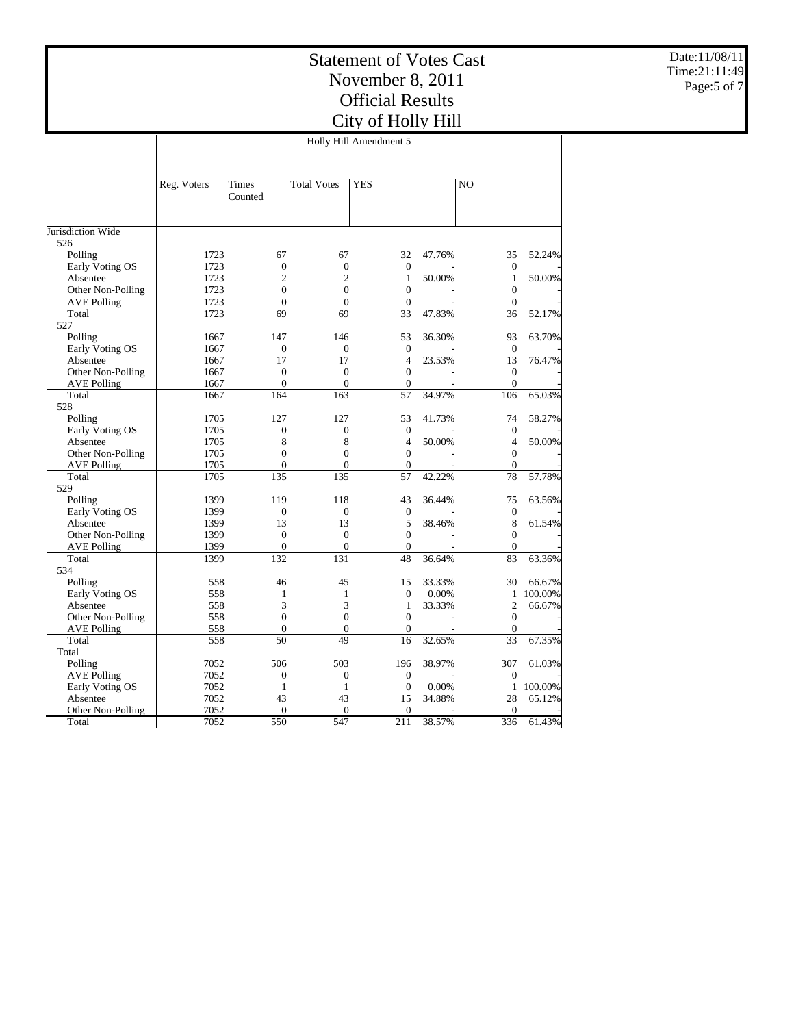Date:11/08/11 Time:21:11:49 Page:5 of 7

|                    | Holly Hill Amendment 5 |                  |                    |                  |        |                  |         |  |  |  |
|--------------------|------------------------|------------------|--------------------|------------------|--------|------------------|---------|--|--|--|
|                    | Reg. Voters            | Times<br>Counted | <b>Total Votes</b> | <b>YES</b>       |        | N <sub>O</sub>   |         |  |  |  |
| Jurisdiction Wide  |                        |                  |                    |                  |        |                  |         |  |  |  |
| 526                |                        |                  |                    |                  |        |                  |         |  |  |  |
| Polling            | 1723                   | 67               | 67                 | 32               | 47.76% | 35               | 52.24%  |  |  |  |
| Early Voting OS    | 1723                   | $\boldsymbol{0}$ | $\mathbf{0}$       | 0                |        | $\boldsymbol{0}$ |         |  |  |  |
| Absentee           | 1723                   | $\overline{c}$   | $\mathfrak{2}$     | $\mathbf{1}$     | 50.00% | $\mathbf{1}$     | 50.00%  |  |  |  |
| Other Non-Polling  | 1723                   | $\overline{0}$   | $\overline{0}$     | $\overline{0}$   |        | $\boldsymbol{0}$ |         |  |  |  |
| <b>AVE Polling</b> | 1723                   | $\overline{0}$   | $\Omega$           | $\mathbf{0}$     |        | $\mathbf{0}$     |         |  |  |  |
| Total              | 1723                   | 69               | 69                 | 33               | 47.83% | 36               | 52.17%  |  |  |  |
| 527                |                        |                  |                    |                  |        |                  |         |  |  |  |
| Polling            | 1667                   | 147              | 146                | 53               | 36.30% | 93               | 63.70%  |  |  |  |
| Early Voting OS    | 1667                   | $\overline{0}$   | $\mathbf{0}$       | $\mathbf{0}$     |        | $\theta$         |         |  |  |  |
| Absentee           | 1667                   | 17               | 17                 | $\overline{4}$   | 23.53% | 13               | 76.47%  |  |  |  |
| Other Non-Polling  | 1667                   | $\mathbf{0}$     | $\theta$           | $\mathbf{0}$     |        | $\mathbf{0}$     |         |  |  |  |
| <b>AVE Polling</b> | 1667                   | $\mathbf{0}$     | $\boldsymbol{0}$   | $\boldsymbol{0}$ |        | $\boldsymbol{0}$ |         |  |  |  |
| Total              | 1667                   | 164              | 163                | 57               | 34.97% | 106              | 65.03%  |  |  |  |
| 528                |                        |                  |                    |                  |        |                  |         |  |  |  |
| Polling            | 1705                   | 127              | 127                | 53               | 41.73% | 74               | 58.27%  |  |  |  |
| Early Voting OS    | 1705                   | $\mathbf{0}$     | $\boldsymbol{0}$   | $\boldsymbol{0}$ |        | $\boldsymbol{0}$ |         |  |  |  |
| Absentee           | 1705                   | 8                | 8                  | $\overline{4}$   | 50.00% | $\overline{4}$   | 50.00%  |  |  |  |
| Other Non-Polling  | 1705                   | $\overline{0}$   | $\mathbf{0}$       | $\mathbf{0}$     |        | $\boldsymbol{0}$ |         |  |  |  |
| <b>AVE Polling</b> | 1705                   | $\overline{0}$   | $\mathbf{0}$       | $\mathbf{0}$     |        | $\mathbf{0}$     |         |  |  |  |
| Total              | 1705                   | 135              | 135                | 57               | 42.22% | 78               | 57.78%  |  |  |  |
| 529                |                        |                  |                    |                  |        |                  |         |  |  |  |
| Polling            | 1399                   | 119              | 118                | 43               | 36.44% | 75               | 63.56%  |  |  |  |
| Early Voting OS    | 1399                   | $\mathbf{0}$     | $\boldsymbol{0}$   | $\boldsymbol{0}$ |        | $\boldsymbol{0}$ |         |  |  |  |
| Absentee           | 1399                   | 13               | 13                 | 5                | 38.46% | 8                | 61.54%  |  |  |  |
| Other Non-Polling  | 1399                   | $\overline{0}$   | $\mathbf{0}$       | $\mathbf{0}$     |        | $\overline{0}$   |         |  |  |  |
| <b>AVE Polling</b> | 1399                   | $\mathbf{0}$     | $\mathbf{0}$       | $\mathbf{0}$     |        | $\mathbf{0}$     |         |  |  |  |
| Total              | 1399                   | 132              | 131                | 48               | 36.64% | 83               | 63.36%  |  |  |  |
| 534                |                        |                  |                    |                  |        |                  |         |  |  |  |
| Polling            | 558                    | 46               | 45                 | 15               | 33.33% | 30               | 66.67%  |  |  |  |
| Early Voting OS    | 558                    | 1                | 1                  | $\mathbf{0}$     | 0.00%  | 1                | 100.00% |  |  |  |
| Absentee           | 558                    | 3                | 3                  | $\mathbf{1}$     | 33.33% | $\mathfrak{2}$   | 66.67%  |  |  |  |
| Other Non-Polling  | 558                    | $\overline{0}$   | $\mathbf{0}$       | $\mathbf{0}$     |        | $\mathbf{0}$     |         |  |  |  |
| <b>AVE Polling</b> | 558                    | $\overline{0}$   | $\overline{0}$     | $\mathbf{0}$     |        | $\mathbf{0}$     |         |  |  |  |
| Total              | 558                    | 50               | 49                 | 16               | 32.65% | 33               | 67.35%  |  |  |  |
| Total              |                        |                  |                    |                  |        |                  |         |  |  |  |
| Polling            | 7052                   | 506              | 503                | 196              | 38.97% | 307              | 61.03%  |  |  |  |
| <b>AVE Polling</b> | 7052                   | $\boldsymbol{0}$ | $\mathbf{0}$       | $\mathbf{0}$     |        | $\boldsymbol{0}$ |         |  |  |  |
| Early Voting OS    | 7052                   | $\mathbf{1}$     | $\mathbf{1}$       | $\mathbf{0}$     | 0.00%  | 1                | 100.00% |  |  |  |
| Absentee           | 7052                   | 43               | 43                 | 15               | 34.88% | 28               | 65.12%  |  |  |  |
| Other Non-Polling  | 7052                   | $\overline{0}$   | $\mathbf{0}$       | $\mathbf{0}$     |        | $\overline{0}$   |         |  |  |  |
| Total              | 7052                   | 550              | 547                | 211              | 38.57% | 336              | 61.43%  |  |  |  |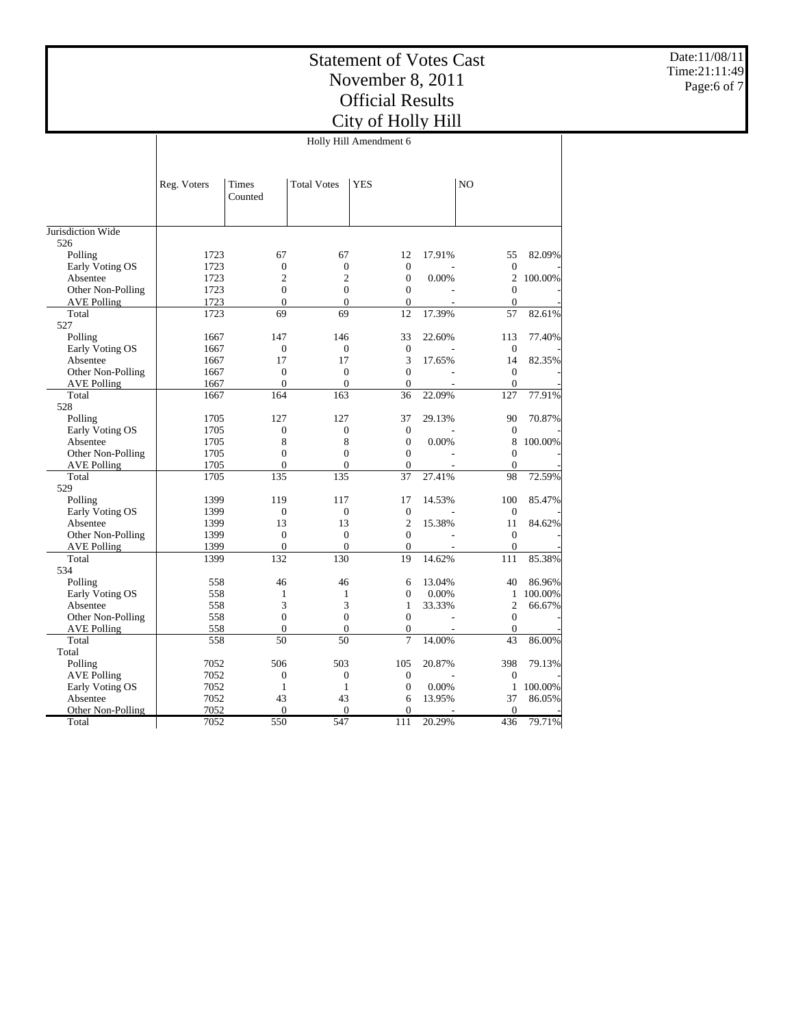Date:11/08/11 Time:21:11:49 Page:6 of 7

| Times<br><b>Total Votes</b><br>N <sub>O</sub><br>Reg. Voters<br><b>YES</b><br>Counted<br>Jurisdiction Wide<br>526<br>67<br>12<br>Polling<br>1723<br>67<br>17.91%<br>55<br>Early Voting OS<br>1723<br>$\boldsymbol{0}$<br>$\mathbf{0}$<br>$\boldsymbol{0}$<br>$\boldsymbol{0}$<br>$\overline{c}$<br>$\mathfrak{2}$<br>$\boldsymbol{0}$<br>$\overline{c}$<br>Absentee<br>1723<br>0.00%<br>$\overline{0}$<br>1723<br>$\overline{0}$<br>$\mathbf{0}$<br>$\overline{0}$<br>Other Non-Polling<br>1723<br>$\overline{0}$<br>$\Omega$<br>$\mathbf{0}$<br>$\mathbf{0}$<br><b>AVE Polling</b><br>69<br>69<br>12<br>17.39%<br>57<br>Total<br>1723<br>527<br>147<br>33<br>Polling<br>1667<br>146<br>22.60%<br>113<br>$\overline{0}$<br>$\mathbf{0}$<br>$\mathbf{0}$<br>$\mathbf{0}$<br>Early Voting OS<br>1667<br>3<br>17<br>17<br>17.65%<br>14<br>Absentee<br>1667<br>$\overline{0}$<br>$\mathbf{0}$<br>$\mathbf{0}$<br>Other Non-Polling<br>1667<br>$\mathbf{0}$<br>$\mathbf{0}$<br>$\boldsymbol{0}$<br>$\boldsymbol{0}$<br>$\boldsymbol{0}$<br><b>AVE Polling</b><br>1667<br>163<br>36<br>22.09%<br>127<br>Total<br>1667<br>164<br>528<br>90<br>Polling<br>1705<br>127<br>127<br>37<br>29.13%<br>1705<br>$\mathbf{0}$<br>$\boldsymbol{0}$<br>$\boldsymbol{0}$<br>$\mathbf{0}$<br>Early Voting OS<br>8<br>8<br>1705<br>$\mathbf{0}$<br>0.00%<br>8<br>Absentee<br>$\mathbf{0}$<br>$\mathbf{0}$<br>$\mathbf{0}$<br>Other Non-Polling<br>1705<br>$\mathbf{0}$<br>$\overline{0}$<br>$\overline{0}$<br><b>AVE Polling</b><br>1705<br>$\mathbf{0}$<br>$\mathbf{0}$<br>37<br>98<br>Total<br>1705<br>135<br>135<br>27.41%<br>529<br>119<br>Polling<br>1399<br>117<br>17<br>14.53%<br>100<br>Early Voting OS<br>1399<br>$\mathbf{0}$<br>$\boldsymbol{0}$<br>$\boldsymbol{0}$<br>$\boldsymbol{0}$<br>13<br>13<br>$\mathfrak{2}$<br>Absentee<br>1399<br>15.38%<br>11<br>$\overline{0}$<br>Other Non-Polling<br>1399<br>$\mathbf{0}$<br>$\mathbf{0}$<br>$\mathbf{0}$<br>1399<br>$\mathbf{0}$<br>$\mathbf{0}$<br>$\mathbf{0}$<br><b>AVE Polling</b><br>$\mathbf{0}$<br>132<br>130<br>19<br>111<br>85.38%<br>Total<br>1399<br>14.62%<br>534<br>40<br>Polling<br>558<br>46<br>46<br>6<br>13.04%<br>Early Voting OS<br>$\mathbf{0}$<br>0.00%<br>558<br>1<br>1<br>$\mathbf{1}$<br>3<br>3<br>$\mathbf{1}$<br>33.33%<br>$\mathfrak{2}$<br>66.67%<br>Absentee<br>558<br>$\overline{0}$<br>$\mathbf{0}$<br>$\mathbf{0}$<br>Other Non-Polling<br>558<br>$\mathbf{0}$<br>$\overline{0}$<br>$\overline{0}$<br>558<br>$\mathbf{0}$<br>$\mathbf{0}$<br><b>AVE Polling</b><br>7<br>50<br>50<br>43<br>Total<br>558<br>14.00%<br>Total<br>506<br>Polling<br>7052<br>503<br>105<br>20.87%<br>398<br>$\mathbf{0}$<br>$\boldsymbol{0}$<br>$\boldsymbol{0}$<br><b>AVE Polling</b><br>7052<br>$\boldsymbol{0}$<br>Early Voting OS<br>7052<br>$\mathbf{1}$<br>$\mathbf{1}$<br>$\mathbf{0}$<br>0.00%<br>1<br>43<br>7052<br>43<br>6<br>13.95%<br>37<br>Absentee<br>Other Non-Polling<br>7052<br>$\overline{0}$<br>$\mathbf{0}$<br>0<br>$\mathbf{0}$<br>550<br>547<br>20.29%<br>Total<br>7052<br>111<br>436 | Holly Hill Amendment 6 |  |  |  |  |  |  |  |  |  |
|-------------------------------------------------------------------------------------------------------------------------------------------------------------------------------------------------------------------------------------------------------------------------------------------------------------------------------------------------------------------------------------------------------------------------------------------------------------------------------------------------------------------------------------------------------------------------------------------------------------------------------------------------------------------------------------------------------------------------------------------------------------------------------------------------------------------------------------------------------------------------------------------------------------------------------------------------------------------------------------------------------------------------------------------------------------------------------------------------------------------------------------------------------------------------------------------------------------------------------------------------------------------------------------------------------------------------------------------------------------------------------------------------------------------------------------------------------------------------------------------------------------------------------------------------------------------------------------------------------------------------------------------------------------------------------------------------------------------------------------------------------------------------------------------------------------------------------------------------------------------------------------------------------------------------------------------------------------------------------------------------------------------------------------------------------------------------------------------------------------------------------------------------------------------------------------------------------------------------------------------------------------------------------------------------------------------------------------------------------------------------------------------------------------------------------------------------------------------------------------------------------------------------------------------------------------------------------------------------------------------------------------------------------------------------------------------------------------------------------------------------------------------------------------------------------------------------------------------------------------------------------------------------------------------------------------------------------------------------------------------------------------------------------------------------------------|------------------------|--|--|--|--|--|--|--|--|--|
|                                                                                                                                                                                                                                                                                                                                                                                                                                                                                                                                                                                                                                                                                                                                                                                                                                                                                                                                                                                                                                                                                                                                                                                                                                                                                                                                                                                                                                                                                                                                                                                                                                                                                                                                                                                                                                                                                                                                                                                                                                                                                                                                                                                                                                                                                                                                                                                                                                                                                                                                                                                                                                                                                                                                                                                                                                                                                                                                                                                                                                                             |                        |  |  |  |  |  |  |  |  |  |
| 82.09%<br>100.00%<br>82.61%<br>77.40%<br>82.35%<br>77.91%<br>70.87%<br>100.00%<br>72.59%<br>85.47%<br>84.62%<br>86.96%<br>100.00%<br>86.00%<br>79.13%<br>100.00%<br>86.05%<br>79.71%                                                                                                                                                                                                                                                                                                                                                                                                                                                                                                                                                                                                                                                                                                                                                                                                                                                                                                                                                                                                                                                                                                                                                                                                                                                                                                                                                                                                                                                                                                                                                                                                                                                                                                                                                                                                                                                                                                                                                                                                                                                                                                                                                                                                                                                                                                                                                                                                                                                                                                                                                                                                                                                                                                                                                                                                                                                                        |                        |  |  |  |  |  |  |  |  |  |
|                                                                                                                                                                                                                                                                                                                                                                                                                                                                                                                                                                                                                                                                                                                                                                                                                                                                                                                                                                                                                                                                                                                                                                                                                                                                                                                                                                                                                                                                                                                                                                                                                                                                                                                                                                                                                                                                                                                                                                                                                                                                                                                                                                                                                                                                                                                                                                                                                                                                                                                                                                                                                                                                                                                                                                                                                                                                                                                                                                                                                                                             |                        |  |  |  |  |  |  |  |  |  |
|                                                                                                                                                                                                                                                                                                                                                                                                                                                                                                                                                                                                                                                                                                                                                                                                                                                                                                                                                                                                                                                                                                                                                                                                                                                                                                                                                                                                                                                                                                                                                                                                                                                                                                                                                                                                                                                                                                                                                                                                                                                                                                                                                                                                                                                                                                                                                                                                                                                                                                                                                                                                                                                                                                                                                                                                                                                                                                                                                                                                                                                             |                        |  |  |  |  |  |  |  |  |  |
|                                                                                                                                                                                                                                                                                                                                                                                                                                                                                                                                                                                                                                                                                                                                                                                                                                                                                                                                                                                                                                                                                                                                                                                                                                                                                                                                                                                                                                                                                                                                                                                                                                                                                                                                                                                                                                                                                                                                                                                                                                                                                                                                                                                                                                                                                                                                                                                                                                                                                                                                                                                                                                                                                                                                                                                                                                                                                                                                                                                                                                                             |                        |  |  |  |  |  |  |  |  |  |
|                                                                                                                                                                                                                                                                                                                                                                                                                                                                                                                                                                                                                                                                                                                                                                                                                                                                                                                                                                                                                                                                                                                                                                                                                                                                                                                                                                                                                                                                                                                                                                                                                                                                                                                                                                                                                                                                                                                                                                                                                                                                                                                                                                                                                                                                                                                                                                                                                                                                                                                                                                                                                                                                                                                                                                                                                                                                                                                                                                                                                                                             |                        |  |  |  |  |  |  |  |  |  |
|                                                                                                                                                                                                                                                                                                                                                                                                                                                                                                                                                                                                                                                                                                                                                                                                                                                                                                                                                                                                                                                                                                                                                                                                                                                                                                                                                                                                                                                                                                                                                                                                                                                                                                                                                                                                                                                                                                                                                                                                                                                                                                                                                                                                                                                                                                                                                                                                                                                                                                                                                                                                                                                                                                                                                                                                                                                                                                                                                                                                                                                             |                        |  |  |  |  |  |  |  |  |  |
|                                                                                                                                                                                                                                                                                                                                                                                                                                                                                                                                                                                                                                                                                                                                                                                                                                                                                                                                                                                                                                                                                                                                                                                                                                                                                                                                                                                                                                                                                                                                                                                                                                                                                                                                                                                                                                                                                                                                                                                                                                                                                                                                                                                                                                                                                                                                                                                                                                                                                                                                                                                                                                                                                                                                                                                                                                                                                                                                                                                                                                                             |                        |  |  |  |  |  |  |  |  |  |
|                                                                                                                                                                                                                                                                                                                                                                                                                                                                                                                                                                                                                                                                                                                                                                                                                                                                                                                                                                                                                                                                                                                                                                                                                                                                                                                                                                                                                                                                                                                                                                                                                                                                                                                                                                                                                                                                                                                                                                                                                                                                                                                                                                                                                                                                                                                                                                                                                                                                                                                                                                                                                                                                                                                                                                                                                                                                                                                                                                                                                                                             |                        |  |  |  |  |  |  |  |  |  |
|                                                                                                                                                                                                                                                                                                                                                                                                                                                                                                                                                                                                                                                                                                                                                                                                                                                                                                                                                                                                                                                                                                                                                                                                                                                                                                                                                                                                                                                                                                                                                                                                                                                                                                                                                                                                                                                                                                                                                                                                                                                                                                                                                                                                                                                                                                                                                                                                                                                                                                                                                                                                                                                                                                                                                                                                                                                                                                                                                                                                                                                             |                        |  |  |  |  |  |  |  |  |  |
|                                                                                                                                                                                                                                                                                                                                                                                                                                                                                                                                                                                                                                                                                                                                                                                                                                                                                                                                                                                                                                                                                                                                                                                                                                                                                                                                                                                                                                                                                                                                                                                                                                                                                                                                                                                                                                                                                                                                                                                                                                                                                                                                                                                                                                                                                                                                                                                                                                                                                                                                                                                                                                                                                                                                                                                                                                                                                                                                                                                                                                                             |                        |  |  |  |  |  |  |  |  |  |
|                                                                                                                                                                                                                                                                                                                                                                                                                                                                                                                                                                                                                                                                                                                                                                                                                                                                                                                                                                                                                                                                                                                                                                                                                                                                                                                                                                                                                                                                                                                                                                                                                                                                                                                                                                                                                                                                                                                                                                                                                                                                                                                                                                                                                                                                                                                                                                                                                                                                                                                                                                                                                                                                                                                                                                                                                                                                                                                                                                                                                                                             |                        |  |  |  |  |  |  |  |  |  |
|                                                                                                                                                                                                                                                                                                                                                                                                                                                                                                                                                                                                                                                                                                                                                                                                                                                                                                                                                                                                                                                                                                                                                                                                                                                                                                                                                                                                                                                                                                                                                                                                                                                                                                                                                                                                                                                                                                                                                                                                                                                                                                                                                                                                                                                                                                                                                                                                                                                                                                                                                                                                                                                                                                                                                                                                                                                                                                                                                                                                                                                             |                        |  |  |  |  |  |  |  |  |  |
|                                                                                                                                                                                                                                                                                                                                                                                                                                                                                                                                                                                                                                                                                                                                                                                                                                                                                                                                                                                                                                                                                                                                                                                                                                                                                                                                                                                                                                                                                                                                                                                                                                                                                                                                                                                                                                                                                                                                                                                                                                                                                                                                                                                                                                                                                                                                                                                                                                                                                                                                                                                                                                                                                                                                                                                                                                                                                                                                                                                                                                                             |                        |  |  |  |  |  |  |  |  |  |
|                                                                                                                                                                                                                                                                                                                                                                                                                                                                                                                                                                                                                                                                                                                                                                                                                                                                                                                                                                                                                                                                                                                                                                                                                                                                                                                                                                                                                                                                                                                                                                                                                                                                                                                                                                                                                                                                                                                                                                                                                                                                                                                                                                                                                                                                                                                                                                                                                                                                                                                                                                                                                                                                                                                                                                                                                                                                                                                                                                                                                                                             |                        |  |  |  |  |  |  |  |  |  |
|                                                                                                                                                                                                                                                                                                                                                                                                                                                                                                                                                                                                                                                                                                                                                                                                                                                                                                                                                                                                                                                                                                                                                                                                                                                                                                                                                                                                                                                                                                                                                                                                                                                                                                                                                                                                                                                                                                                                                                                                                                                                                                                                                                                                                                                                                                                                                                                                                                                                                                                                                                                                                                                                                                                                                                                                                                                                                                                                                                                                                                                             |                        |  |  |  |  |  |  |  |  |  |
|                                                                                                                                                                                                                                                                                                                                                                                                                                                                                                                                                                                                                                                                                                                                                                                                                                                                                                                                                                                                                                                                                                                                                                                                                                                                                                                                                                                                                                                                                                                                                                                                                                                                                                                                                                                                                                                                                                                                                                                                                                                                                                                                                                                                                                                                                                                                                                                                                                                                                                                                                                                                                                                                                                                                                                                                                                                                                                                                                                                                                                                             |                        |  |  |  |  |  |  |  |  |  |
|                                                                                                                                                                                                                                                                                                                                                                                                                                                                                                                                                                                                                                                                                                                                                                                                                                                                                                                                                                                                                                                                                                                                                                                                                                                                                                                                                                                                                                                                                                                                                                                                                                                                                                                                                                                                                                                                                                                                                                                                                                                                                                                                                                                                                                                                                                                                                                                                                                                                                                                                                                                                                                                                                                                                                                                                                                                                                                                                                                                                                                                             |                        |  |  |  |  |  |  |  |  |  |
|                                                                                                                                                                                                                                                                                                                                                                                                                                                                                                                                                                                                                                                                                                                                                                                                                                                                                                                                                                                                                                                                                                                                                                                                                                                                                                                                                                                                                                                                                                                                                                                                                                                                                                                                                                                                                                                                                                                                                                                                                                                                                                                                                                                                                                                                                                                                                                                                                                                                                                                                                                                                                                                                                                                                                                                                                                                                                                                                                                                                                                                             |                        |  |  |  |  |  |  |  |  |  |
|                                                                                                                                                                                                                                                                                                                                                                                                                                                                                                                                                                                                                                                                                                                                                                                                                                                                                                                                                                                                                                                                                                                                                                                                                                                                                                                                                                                                                                                                                                                                                                                                                                                                                                                                                                                                                                                                                                                                                                                                                                                                                                                                                                                                                                                                                                                                                                                                                                                                                                                                                                                                                                                                                                                                                                                                                                                                                                                                                                                                                                                             |                        |  |  |  |  |  |  |  |  |  |
|                                                                                                                                                                                                                                                                                                                                                                                                                                                                                                                                                                                                                                                                                                                                                                                                                                                                                                                                                                                                                                                                                                                                                                                                                                                                                                                                                                                                                                                                                                                                                                                                                                                                                                                                                                                                                                                                                                                                                                                                                                                                                                                                                                                                                                                                                                                                                                                                                                                                                                                                                                                                                                                                                                                                                                                                                                                                                                                                                                                                                                                             |                        |  |  |  |  |  |  |  |  |  |
|                                                                                                                                                                                                                                                                                                                                                                                                                                                                                                                                                                                                                                                                                                                                                                                                                                                                                                                                                                                                                                                                                                                                                                                                                                                                                                                                                                                                                                                                                                                                                                                                                                                                                                                                                                                                                                                                                                                                                                                                                                                                                                                                                                                                                                                                                                                                                                                                                                                                                                                                                                                                                                                                                                                                                                                                                                                                                                                                                                                                                                                             |                        |  |  |  |  |  |  |  |  |  |
|                                                                                                                                                                                                                                                                                                                                                                                                                                                                                                                                                                                                                                                                                                                                                                                                                                                                                                                                                                                                                                                                                                                                                                                                                                                                                                                                                                                                                                                                                                                                                                                                                                                                                                                                                                                                                                                                                                                                                                                                                                                                                                                                                                                                                                                                                                                                                                                                                                                                                                                                                                                                                                                                                                                                                                                                                                                                                                                                                                                                                                                             |                        |  |  |  |  |  |  |  |  |  |
|                                                                                                                                                                                                                                                                                                                                                                                                                                                                                                                                                                                                                                                                                                                                                                                                                                                                                                                                                                                                                                                                                                                                                                                                                                                                                                                                                                                                                                                                                                                                                                                                                                                                                                                                                                                                                                                                                                                                                                                                                                                                                                                                                                                                                                                                                                                                                                                                                                                                                                                                                                                                                                                                                                                                                                                                                                                                                                                                                                                                                                                             |                        |  |  |  |  |  |  |  |  |  |
|                                                                                                                                                                                                                                                                                                                                                                                                                                                                                                                                                                                                                                                                                                                                                                                                                                                                                                                                                                                                                                                                                                                                                                                                                                                                                                                                                                                                                                                                                                                                                                                                                                                                                                                                                                                                                                                                                                                                                                                                                                                                                                                                                                                                                                                                                                                                                                                                                                                                                                                                                                                                                                                                                                                                                                                                                                                                                                                                                                                                                                                             |                        |  |  |  |  |  |  |  |  |  |
|                                                                                                                                                                                                                                                                                                                                                                                                                                                                                                                                                                                                                                                                                                                                                                                                                                                                                                                                                                                                                                                                                                                                                                                                                                                                                                                                                                                                                                                                                                                                                                                                                                                                                                                                                                                                                                                                                                                                                                                                                                                                                                                                                                                                                                                                                                                                                                                                                                                                                                                                                                                                                                                                                                                                                                                                                                                                                                                                                                                                                                                             |                        |  |  |  |  |  |  |  |  |  |
|                                                                                                                                                                                                                                                                                                                                                                                                                                                                                                                                                                                                                                                                                                                                                                                                                                                                                                                                                                                                                                                                                                                                                                                                                                                                                                                                                                                                                                                                                                                                                                                                                                                                                                                                                                                                                                                                                                                                                                                                                                                                                                                                                                                                                                                                                                                                                                                                                                                                                                                                                                                                                                                                                                                                                                                                                                                                                                                                                                                                                                                             |                        |  |  |  |  |  |  |  |  |  |
|                                                                                                                                                                                                                                                                                                                                                                                                                                                                                                                                                                                                                                                                                                                                                                                                                                                                                                                                                                                                                                                                                                                                                                                                                                                                                                                                                                                                                                                                                                                                                                                                                                                                                                                                                                                                                                                                                                                                                                                                                                                                                                                                                                                                                                                                                                                                                                                                                                                                                                                                                                                                                                                                                                                                                                                                                                                                                                                                                                                                                                                             |                        |  |  |  |  |  |  |  |  |  |
|                                                                                                                                                                                                                                                                                                                                                                                                                                                                                                                                                                                                                                                                                                                                                                                                                                                                                                                                                                                                                                                                                                                                                                                                                                                                                                                                                                                                                                                                                                                                                                                                                                                                                                                                                                                                                                                                                                                                                                                                                                                                                                                                                                                                                                                                                                                                                                                                                                                                                                                                                                                                                                                                                                                                                                                                                                                                                                                                                                                                                                                             |                        |  |  |  |  |  |  |  |  |  |
|                                                                                                                                                                                                                                                                                                                                                                                                                                                                                                                                                                                                                                                                                                                                                                                                                                                                                                                                                                                                                                                                                                                                                                                                                                                                                                                                                                                                                                                                                                                                                                                                                                                                                                                                                                                                                                                                                                                                                                                                                                                                                                                                                                                                                                                                                                                                                                                                                                                                                                                                                                                                                                                                                                                                                                                                                                                                                                                                                                                                                                                             |                        |  |  |  |  |  |  |  |  |  |
|                                                                                                                                                                                                                                                                                                                                                                                                                                                                                                                                                                                                                                                                                                                                                                                                                                                                                                                                                                                                                                                                                                                                                                                                                                                                                                                                                                                                                                                                                                                                                                                                                                                                                                                                                                                                                                                                                                                                                                                                                                                                                                                                                                                                                                                                                                                                                                                                                                                                                                                                                                                                                                                                                                                                                                                                                                                                                                                                                                                                                                                             |                        |  |  |  |  |  |  |  |  |  |
|                                                                                                                                                                                                                                                                                                                                                                                                                                                                                                                                                                                                                                                                                                                                                                                                                                                                                                                                                                                                                                                                                                                                                                                                                                                                                                                                                                                                                                                                                                                                                                                                                                                                                                                                                                                                                                                                                                                                                                                                                                                                                                                                                                                                                                                                                                                                                                                                                                                                                                                                                                                                                                                                                                                                                                                                                                                                                                                                                                                                                                                             |                        |  |  |  |  |  |  |  |  |  |
|                                                                                                                                                                                                                                                                                                                                                                                                                                                                                                                                                                                                                                                                                                                                                                                                                                                                                                                                                                                                                                                                                                                                                                                                                                                                                                                                                                                                                                                                                                                                                                                                                                                                                                                                                                                                                                                                                                                                                                                                                                                                                                                                                                                                                                                                                                                                                                                                                                                                                                                                                                                                                                                                                                                                                                                                                                                                                                                                                                                                                                                             |                        |  |  |  |  |  |  |  |  |  |
|                                                                                                                                                                                                                                                                                                                                                                                                                                                                                                                                                                                                                                                                                                                                                                                                                                                                                                                                                                                                                                                                                                                                                                                                                                                                                                                                                                                                                                                                                                                                                                                                                                                                                                                                                                                                                                                                                                                                                                                                                                                                                                                                                                                                                                                                                                                                                                                                                                                                                                                                                                                                                                                                                                                                                                                                                                                                                                                                                                                                                                                             |                        |  |  |  |  |  |  |  |  |  |
|                                                                                                                                                                                                                                                                                                                                                                                                                                                                                                                                                                                                                                                                                                                                                                                                                                                                                                                                                                                                                                                                                                                                                                                                                                                                                                                                                                                                                                                                                                                                                                                                                                                                                                                                                                                                                                                                                                                                                                                                                                                                                                                                                                                                                                                                                                                                                                                                                                                                                                                                                                                                                                                                                                                                                                                                                                                                                                                                                                                                                                                             |                        |  |  |  |  |  |  |  |  |  |
|                                                                                                                                                                                                                                                                                                                                                                                                                                                                                                                                                                                                                                                                                                                                                                                                                                                                                                                                                                                                                                                                                                                                                                                                                                                                                                                                                                                                                                                                                                                                                                                                                                                                                                                                                                                                                                                                                                                                                                                                                                                                                                                                                                                                                                                                                                                                                                                                                                                                                                                                                                                                                                                                                                                                                                                                                                                                                                                                                                                                                                                             |                        |  |  |  |  |  |  |  |  |  |
|                                                                                                                                                                                                                                                                                                                                                                                                                                                                                                                                                                                                                                                                                                                                                                                                                                                                                                                                                                                                                                                                                                                                                                                                                                                                                                                                                                                                                                                                                                                                                                                                                                                                                                                                                                                                                                                                                                                                                                                                                                                                                                                                                                                                                                                                                                                                                                                                                                                                                                                                                                                                                                                                                                                                                                                                                                                                                                                                                                                                                                                             |                        |  |  |  |  |  |  |  |  |  |
|                                                                                                                                                                                                                                                                                                                                                                                                                                                                                                                                                                                                                                                                                                                                                                                                                                                                                                                                                                                                                                                                                                                                                                                                                                                                                                                                                                                                                                                                                                                                                                                                                                                                                                                                                                                                                                                                                                                                                                                                                                                                                                                                                                                                                                                                                                                                                                                                                                                                                                                                                                                                                                                                                                                                                                                                                                                                                                                                                                                                                                                             |                        |  |  |  |  |  |  |  |  |  |
|                                                                                                                                                                                                                                                                                                                                                                                                                                                                                                                                                                                                                                                                                                                                                                                                                                                                                                                                                                                                                                                                                                                                                                                                                                                                                                                                                                                                                                                                                                                                                                                                                                                                                                                                                                                                                                                                                                                                                                                                                                                                                                                                                                                                                                                                                                                                                                                                                                                                                                                                                                                                                                                                                                                                                                                                                                                                                                                                                                                                                                                             |                        |  |  |  |  |  |  |  |  |  |
|                                                                                                                                                                                                                                                                                                                                                                                                                                                                                                                                                                                                                                                                                                                                                                                                                                                                                                                                                                                                                                                                                                                                                                                                                                                                                                                                                                                                                                                                                                                                                                                                                                                                                                                                                                                                                                                                                                                                                                                                                                                                                                                                                                                                                                                                                                                                                                                                                                                                                                                                                                                                                                                                                                                                                                                                                                                                                                                                                                                                                                                             |                        |  |  |  |  |  |  |  |  |  |
|                                                                                                                                                                                                                                                                                                                                                                                                                                                                                                                                                                                                                                                                                                                                                                                                                                                                                                                                                                                                                                                                                                                                                                                                                                                                                                                                                                                                                                                                                                                                                                                                                                                                                                                                                                                                                                                                                                                                                                                                                                                                                                                                                                                                                                                                                                                                                                                                                                                                                                                                                                                                                                                                                                                                                                                                                                                                                                                                                                                                                                                             |                        |  |  |  |  |  |  |  |  |  |
|                                                                                                                                                                                                                                                                                                                                                                                                                                                                                                                                                                                                                                                                                                                                                                                                                                                                                                                                                                                                                                                                                                                                                                                                                                                                                                                                                                                                                                                                                                                                                                                                                                                                                                                                                                                                                                                                                                                                                                                                                                                                                                                                                                                                                                                                                                                                                                                                                                                                                                                                                                                                                                                                                                                                                                                                                                                                                                                                                                                                                                                             |                        |  |  |  |  |  |  |  |  |  |
|                                                                                                                                                                                                                                                                                                                                                                                                                                                                                                                                                                                                                                                                                                                                                                                                                                                                                                                                                                                                                                                                                                                                                                                                                                                                                                                                                                                                                                                                                                                                                                                                                                                                                                                                                                                                                                                                                                                                                                                                                                                                                                                                                                                                                                                                                                                                                                                                                                                                                                                                                                                                                                                                                                                                                                                                                                                                                                                                                                                                                                                             |                        |  |  |  |  |  |  |  |  |  |
|                                                                                                                                                                                                                                                                                                                                                                                                                                                                                                                                                                                                                                                                                                                                                                                                                                                                                                                                                                                                                                                                                                                                                                                                                                                                                                                                                                                                                                                                                                                                                                                                                                                                                                                                                                                                                                                                                                                                                                                                                                                                                                                                                                                                                                                                                                                                                                                                                                                                                                                                                                                                                                                                                                                                                                                                                                                                                                                                                                                                                                                             |                        |  |  |  |  |  |  |  |  |  |